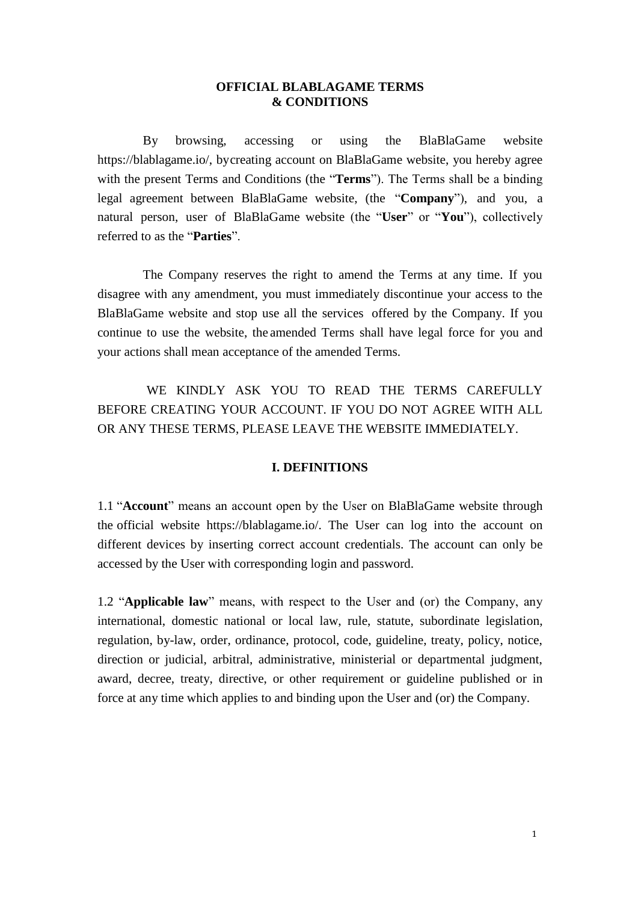#### **OFFICIAL BLABLAGAME TERMS & CONDITIONS**

By browsing, accessing or using the BlaBlaGame website https://blablagame.io/, bycreating account on BlaBlaGame website, you hereby agree with the present Terms and Conditions (the "**Terms**"). The Terms shall be a binding legal agreement between BlaBlaGame website, (the "**Company**"), and you, a natural person, user of BlaBlaGame website (the "**User**" or "**You**"), collectively referred to as the "**Parties**".

The Company reserves the right to amend the Terms at any time. If you disagree with any amendment, you must immediately discontinue your access to the BlaBlaGame website and stop use all the services offered by the Company. If you continue to use the website, the amended Terms shall have legal force for you and your actions shall mean acceptance of the amended Terms.

WE KINDLY ASK YOU TO READ THE TERMS CAREFULLY BEFORE CREATING YOUR ACCOUNT. IF YOU DO NOT AGREE WITH ALL OR ANY THESE TERMS, PLEASE LEAVE THE WEBSITE IMMEDIATELY.

### **I. DEFINITIONS**

1.1 "**Account**" means an account open by the User on BlaBlaGame website through the official website https://blablagame.io/. The User can log into the account on different devices by inserting correct account credentials. The account can only be accessed by the User with corresponding login and password.

1.2 "**Applicable law**" means, with respect to the User and (or) the Company, any international, domestic national or local law, rule, statute, subordinate legislation, regulation, by-law, order, ordinance, protocol, code, guideline, treaty, policy, notice, direction or judicial, arbitral, administrative, ministerial or departmental judgment, award, decree, treaty, directive, or other requirement or guideline published or in force at any time which applies to and binding upon the User and (or) the Company.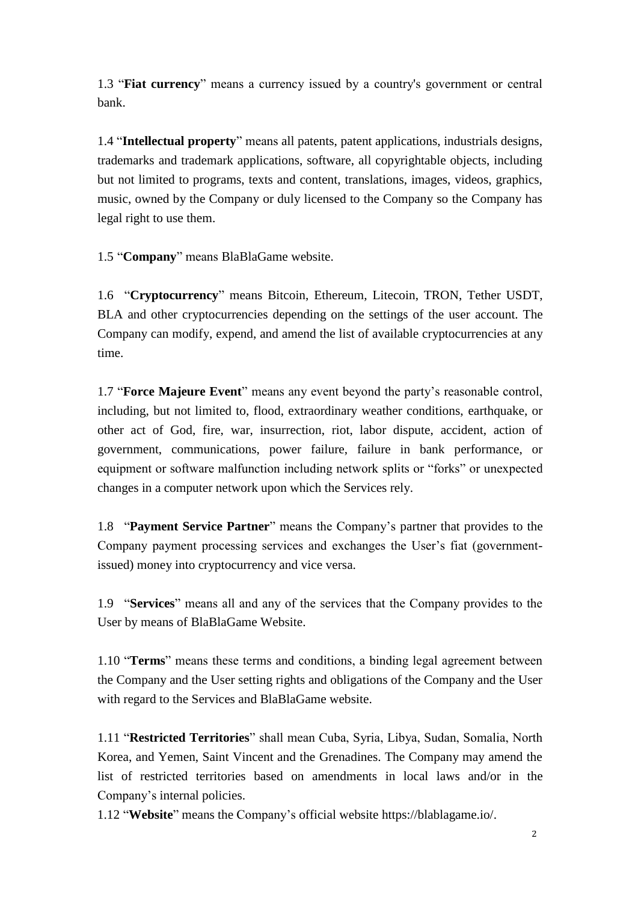1.3 "**Fiat currency**" means a currency issued by a country's government or central bank.

1.4 "**Intellectual property**" means all patents, patent applications, industrials designs, trademarks and trademark applications, software, all copyrightable objects, including but not limited to programs, texts and content, translations, images, videos, graphics, music, owned by the Company or duly licensed to the Company so the Company has legal right to use them.

1.5 "**Company**" means BlaBlaGame website.

1.6 "**Cryptocurrency**" means Bitcoin, Ethereum, Litecoin, TRON, Tether USDT, BLA and other cryptocurrencies depending on the settings of the user account. The Company can modify, expend, and amend the list of available cryptocurrencies at any time.

1.7 "**Force Majeure Event**" means any event beyond the party's reasonable control, including, but not limited to, flood, extraordinary weather conditions, earthquake, or other act of God, fire, war, insurrection, riot, labor dispute, accident, action of government, communications, power failure, failure in bank performance, or equipment or software malfunction including network splits or "forks" or unexpected changes in a computer network upon which the Services rely.

1.8 "**Payment Service Partner**" means the Company's partner that provides to the Company payment processing services and exchanges the User's fiat (governmentissued) money into cryptocurrency and vice versa.

1.9 "**Services**" means all and any of the services that the Company provides to the User by means of BlaBlaGame Website.

1.10 "**Terms**" means these terms and conditions, a binding legal agreement between the Company and the User setting rights and obligations of the Company and the User with regard to the Services and BlaBlaGame website.

1.11 "**Restricted Territories**" shall mean Cuba, Syria, Libya, Sudan, Somalia, North Korea, and Yemen, Saint Vincent and the Grenadines. The Company may amend the list of restricted territories based on amendments in local laws and/or in the Company's internal policies.

1.12 "**Website**" means the Company's official website https://blablagame.io/.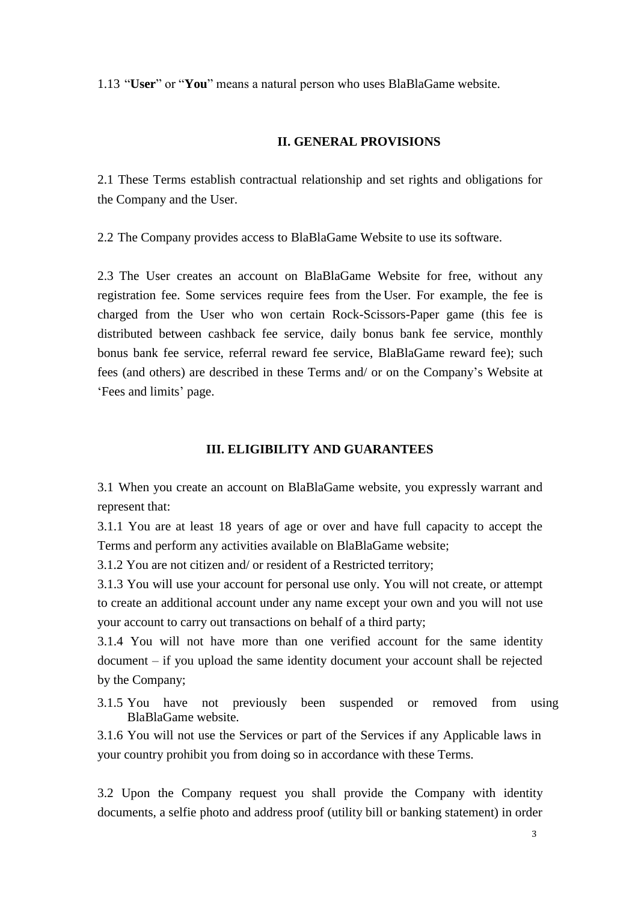1.13 "**User**" or "**You**" means a natural person who uses BlaBlaGame website.

### **II. GENERAL PROVISIONS**

2.1 These Terms establish contractual relationship and set rights and obligations for the Company and the User.

2.2 The Company provides access to BlaBlaGame Website to use its software.

2.3 The User creates an account on BlaBlaGame Website for free, without any registration fee. Some services require fees from the User. For example, the fee is charged from the User who won certain Rock-Scissors-Paper game (this fee is distributed between cashback fee service, daily bonus bank fee service, monthly bonus bank fee service, referral reward fee service, BlaBlaGame reward fee); such fees (and others) are described in these Terms and/ or on the Company's Website at 'Fees and limits' page.

#### **III. ELIGIBILITY AND GUARANTEES**

3.1 When you create an account on BlaBlaGame website, you expressly warrant and represent that:

3.1.1 You are at least 18 years of age or over and have full capacity to accept the Terms and perform any activities available on BlaBlaGame website;

3.1.2 You are not citizen and/ or resident of a Restricted territory;

3.1.3 You will use your account for personal use only. You will not create, or attempt to create an additional account under any name except your own and you will not use your account to carry out transactions on behalf of a third party;

3.1.4 You will not have more than one verified account for the same identity document – if you upload the same identity document your account shall be rejected by the Company;

3.1.5 You have not previously been suspended or removed from using BlaBlaGame website.

3.1.6 You will not use the Services or part of the Services if any Applicable laws in your country prohibit you from doing so in accordance with these Terms.

3.2 Upon the Company request you shall provide the Company with identity documents, a selfie photo and address proof (utility bill or banking statement) in order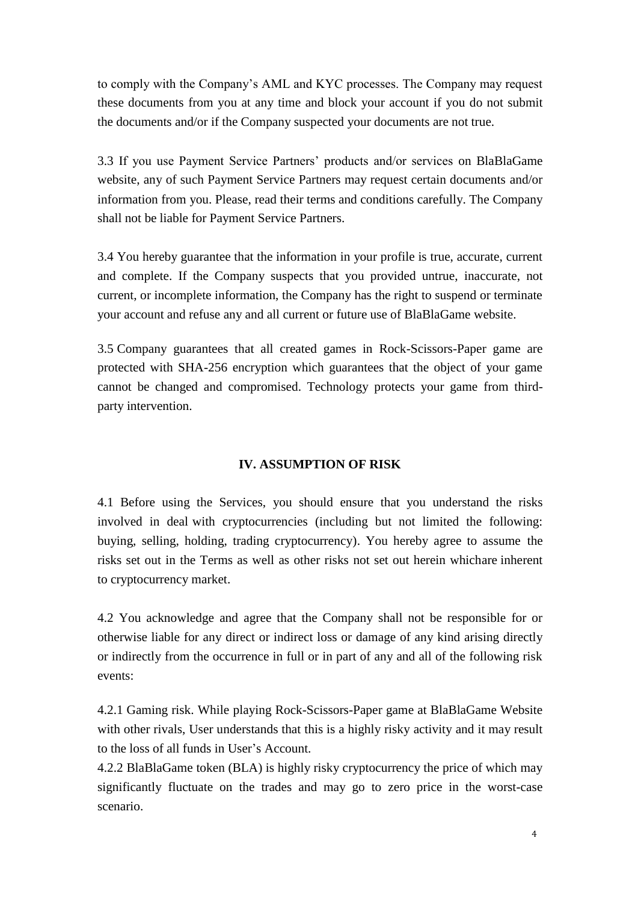to comply with the Company's AML and KYC processes. The Company may request these documents from you at any time and block your account if you do not submit the documents and/or if the Company suspected your documents are not true.

3.3 If you use Payment Service Partners' products and/or services on BlaBlaGame website, any of such Payment Service Partners may request certain documents and/or information from you. Please, read their terms and conditions carefully. The Company shall not be liable for Payment Service Partners.

3.4 You hereby guarantee that the information in your profile is true, accurate, current and complete. If the Company suspects that you provided untrue, inaccurate, not current, or incomplete information, the Company has the right to suspend or terminate your account and refuse any and all current or future use of BlaBlaGame website.

3.5 Company guarantees that all created games in Rock-Scissors-Paper game are protected with SHA-256 encryption which guarantees that the object of your game cannot be changed and compromised. Technology protects your game from thirdparty intervention.

# **IV. ASSUMPTION OF RISK**

4.1 Before using the Services, you should ensure that you understand the risks involved in deal with cryptocurrencies (including but not limited the following: buying, selling, holding, trading cryptocurrency). You hereby agree to assume the risks set out in the Terms as well as other risks not set out herein whichare inherent to cryptocurrency market.

4.2 You acknowledge and agree that the Company shall not be responsible for or otherwise liable for any direct or indirect loss or damage of any kind arising directly or indirectly from the occurrence in full or in part of any and all of the following risk events:

4.2.1 Gaming risk. While playing Rock-Scissors-Paper game at BlaBlaGame Website with other rivals, User understands that this is a highly risky activity and it may result to the loss of all funds in User's Account.

4.2.2 BlaBlaGame token (BLA) is highly risky cryptocurrency the price of which may significantly fluctuate on the trades and may go to zero price in the worst-case scenario.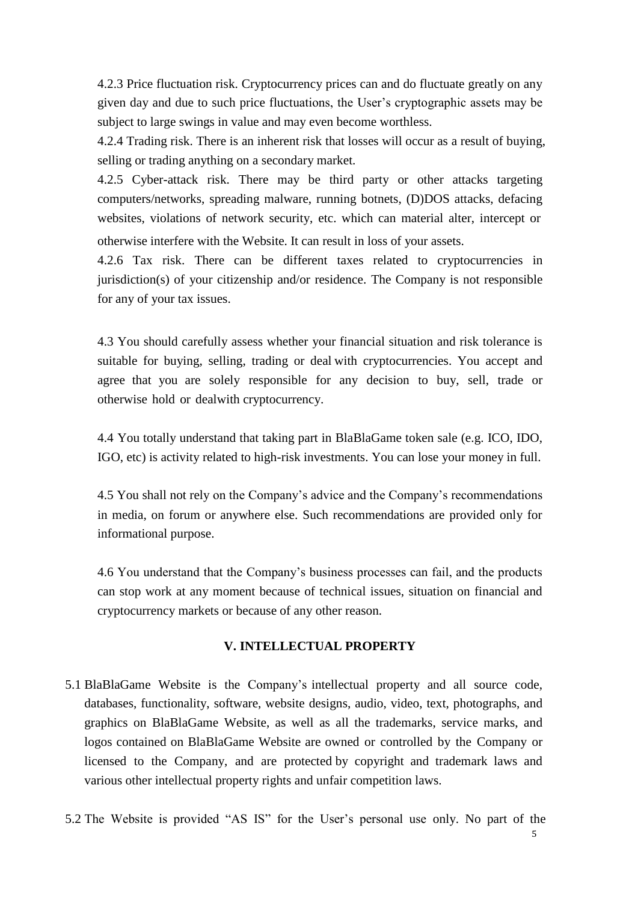4.2.3 Price fluctuation risk. Cryptocurrency prices can and do fluctuate greatly on any given day and due to such price fluctuations, the User's cryptographic assets may be subject to large swings in value and may even become worthless.

4.2.4 Trading risk. There is an inherent risk that losses will occur as a result of buying, selling or trading anything on a secondary market.

4.2.5 Cyber-attack risk. There may be third party or other attacks targeting computers/networks, spreading malware, running botnets, (D)DOS attacks, defacing websites, violations of network security, etc. which can material alter, intercept or otherwise interfere with the Website. It can result in loss of your assets.

4.2.6 Tax risk. There can be different taxes related to cryptocurrencies in jurisdiction(s) of your citizenship and/or residence. The Company is not responsible for any of your tax issues.

4.3 You should carefully assess whether your financial situation and risk tolerance is suitable for buying, selling, trading or deal with cryptocurrencies. You accept and agree that you are solely responsible for any decision to buy, sell, trade or otherwise hold or dealwith cryptocurrency.

4.4 You totally understand that taking part in BlaBlaGame token sale (e.g. ICO, IDO, IGO, etc) is activity related to high-risk investments. You can lose your money in full.

4.5 You shall not rely on the Company's advice and the Company's recommendations in media, on forum or anywhere else. Such recommendations are provided only for informational purpose.

4.6 You understand that the Company's business processes can fail, and the products can stop work at any moment because of technical issues, situation on financial and cryptocurrency markets or because of any other reason.

# **V. INTELLECTUAL PROPERTY**

- 5.1 BlaBlaGame Website is the Company's intellectual property and all source code, databases, functionality, software, website designs, audio, video, text, photographs, and graphics on BlaBlaGame Website, as well as all the trademarks, service marks, and logos contained on BlaBlaGame Website are owned or controlled by the Company or licensed to the Company, and are protected by copyright and trademark laws and various other intellectual property rights and unfair competition laws.
- 5.2 The Website is provided "AS IS" for the User's personal use only. No part of the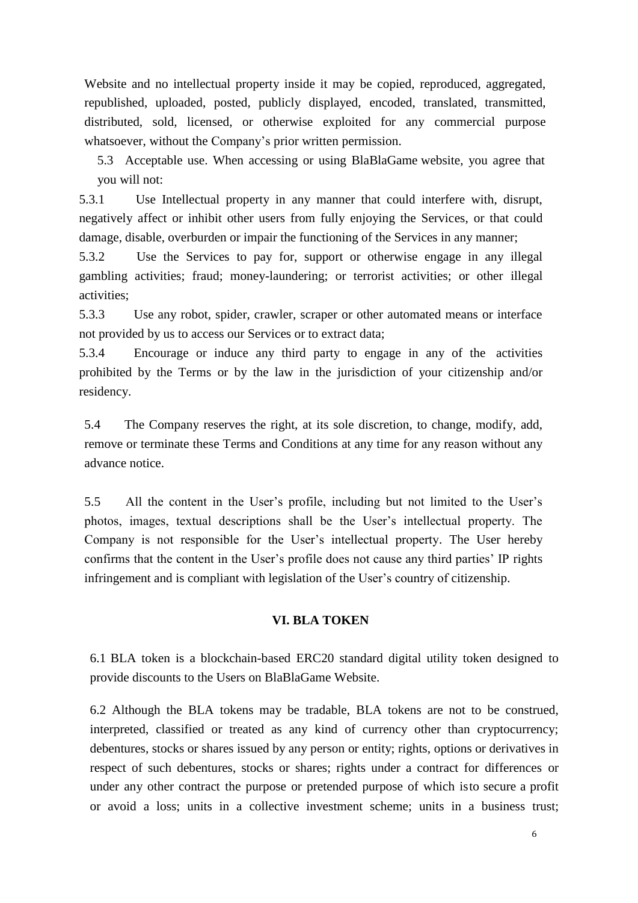Website and no intellectual property inside it may be copied, reproduced, aggregated, republished, uploaded, posted, publicly displayed, encoded, translated, transmitted, distributed, sold, licensed, or otherwise exploited for any commercial purpose whatsoever, without the Company's prior written permission.

5.3 Acceptable use. When accessing or using BlaBlaGame website, you agree that you will not:

5.3.1 Use Intellectual property in any manner that could interfere with, disrupt, negatively affect or inhibit other users from fully enjoying the Services, or that could damage, disable, overburden or impair the functioning of the Services in any manner;

5.3.2 Use the Services to pay for, support or otherwise engage in any illegal gambling activities; fraud; money-laundering; or terrorist activities; or other illegal activities;

5.3.3 Use any robot, spider, crawler, scraper or other automated means or interface not provided by us to access our Services or to extract data;

5.3.4 Encourage or induce any third party to engage in any of the activities prohibited by the Terms or by the law in the jurisdiction of your citizenship and/or residency.

5.4 The Company reserves the right, at its sole discretion, to change, modify, add, remove or terminate these Terms and Conditions at any time for any reason without any advance notice.

5.5 All the content in the User's profile, including but not limited to the User's photos, images, textual descriptions shall be the User's intellectual property. The Company is not responsible for the User's intellectual property. The User hereby confirms that the content in the User's profile does not cause any third parties' IP rights infringement and is compliant with legislation of the User's country of citizenship.

#### **VI. BLA TOKEN**

6.1 BLA token is a blockchain-based ERC20 standard digital utility token designed to provide discounts to the Users on BlaBlaGame Website.

6.2 Although the BLA tokens may be tradable, BLA tokens are not to be construed, interpreted, classified or treated as any kind of currency other than cryptocurrency; debentures, stocks or shares issued by any person or entity; rights, options or derivatives in respect of such debentures, stocks or shares; rights under a contract for differences or under any other contract the purpose or pretended purpose of which isto secure a profit or avoid a loss; units in a collective investment scheme; units in a business trust;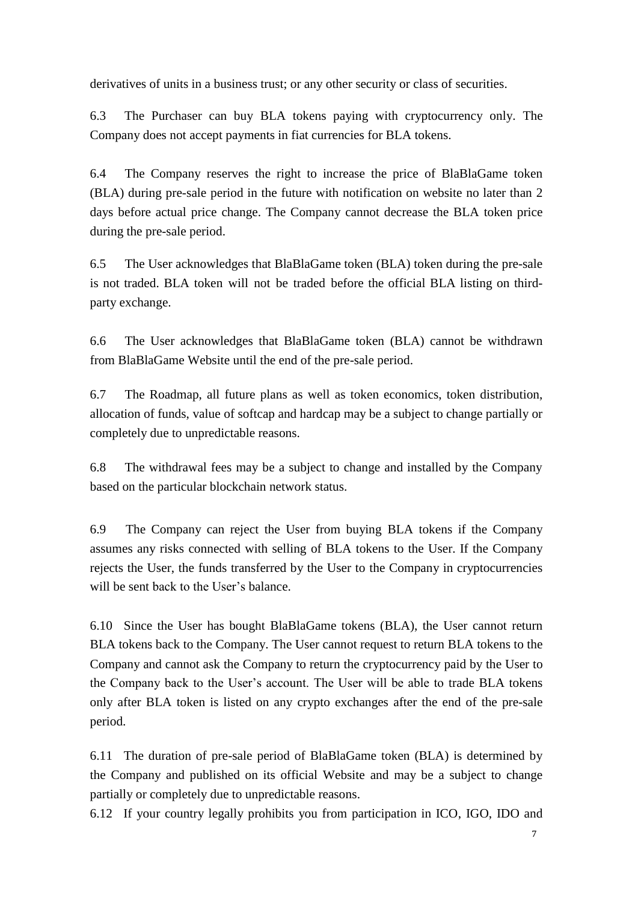derivatives of units in a business trust; or any other security or class of securities.

6.3 The Purchaser can buy BLA tokens paying with cryptocurrency only. The Company does not accept payments in fiat currencies for BLA tokens.

6.4 The Company reserves the right to increase the price of BlaBlaGame token (BLA) during pre-sale period in the future with notification on website no later than 2 days before actual price change. The Company cannot decrease the BLA token price during the pre-sale period.

6.5 The User acknowledges that BlaBlaGame token (BLA) token during the pre-sale is not traded. BLA token will not be traded before the official BLA listing on thirdparty exchange.

6.6 The User acknowledges that BlaBlaGame token (BLA) cannot be withdrawn from BlaBlaGame Website until the end of the pre-sale period.

6.7 The Roadmap, all future plans as well as token economics, token distribution, allocation of funds, value of softcap and hardcap may be a subject to change partially or completely due to unpredictable reasons.

6.8 The withdrawal fees may be a subject to change and installed by the Company based on the particular blockchain network status.

6.9 The Company can reject the User from buying BLA tokens if the Company assumes any risks connected with selling of BLA tokens to the User. If the Company rejects the User, the funds transferred by the User to the Company in cryptocurrencies will be sent back to the User's balance.

6.10 Since the User has bought BlaBlaGame tokens (BLA), the User cannot return BLA tokens back to the Company. The User cannot request to return BLA tokens to the Company and cannot ask the Company to return the cryptocurrency paid by the User to the Company back to the User's account. The User will be able to trade BLA tokens only after BLA token is listed on any crypto exchanges after the end of the pre-sale period.

6.11 The duration of pre-sale period of BlaBlaGame token (BLA) is determined by the Company and published on its official Website and may be a subject to change partially or completely due to unpredictable reasons.

6.12 If your country legally prohibits you from participation in ICO, IGO, IDO and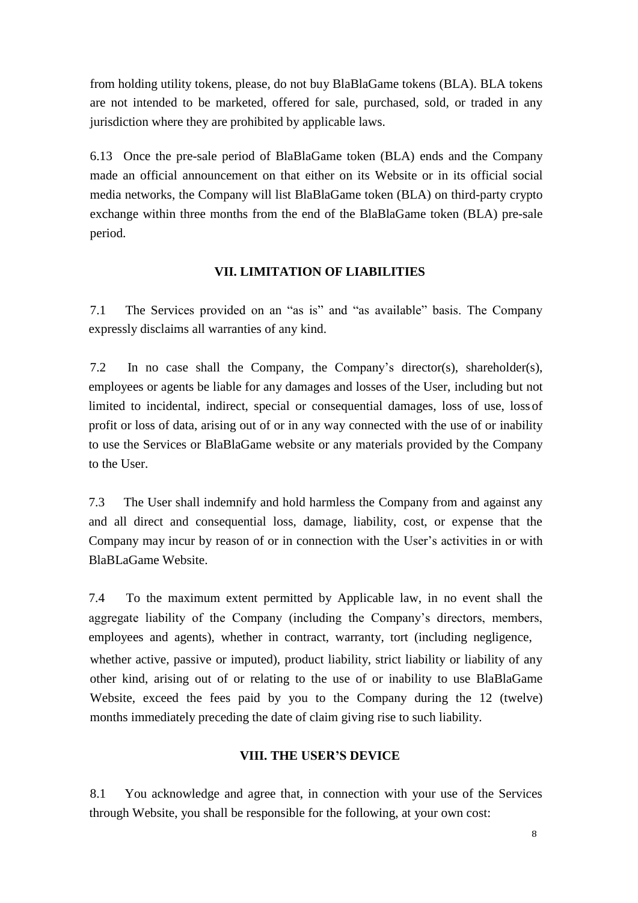from holding utility tokens, please, do not buy BlaBlaGame tokens (BLA). BLA tokens are not intended to be marketed, offered for sale, purchased, sold, or traded in any jurisdiction where they are prohibited by applicable laws.

6.13 Once the pre-sale period of BlaBlaGame token (BLA) ends and the Company made an official announcement on that either on its Website or in its official social media networks, the Company will list BlaBlaGame token (BLA) on third-party crypto exchange within three months from the end of the BlaBlaGame token (BLA) pre-sale period.

## **VII. LIMITATION OF LIABILITIES**

7.1 The Services provided on an "as is" and "as available" basis. The Company expressly disclaims all warranties of any kind.

7.2 In no case shall the Company, the Company's director(s), shareholder(s), employees or agents be liable for any damages and losses of the User, including but not limited to incidental, indirect, special or consequential damages, loss of use, loss of profit or loss of data, arising out of or in any way connected with the use of or inability to use the Services or BlaBlaGame website or any materials provided by the Company to the User.

7.3 The User shall indemnify and hold harmless the Company from and against any and all direct and consequential loss, damage, liability, cost, or expense that the Company may incur by reason of or in connection with the User's activities in or with BlaBLaGame Website.

7.4 To the maximum extent permitted by Applicable law, in no event shall the aggregate liability of the Company (including the Company's directors, members, employees and agents), whether in contract, warranty, tort (including negligence, whether active, passive or imputed), product liability, strict liability or liability of any other kind, arising out of or relating to the use of or inability to use BlaBlaGame Website, exceed the fees paid by you to the Company during the 12 (twelve) months immediately preceding the date of claim giving rise to such liability.

### **VIII. THE USER'S DEVICE**

8.1 You acknowledge and agree that, in connection with your use of the Services through Website, you shall be responsible for the following, at your own cost: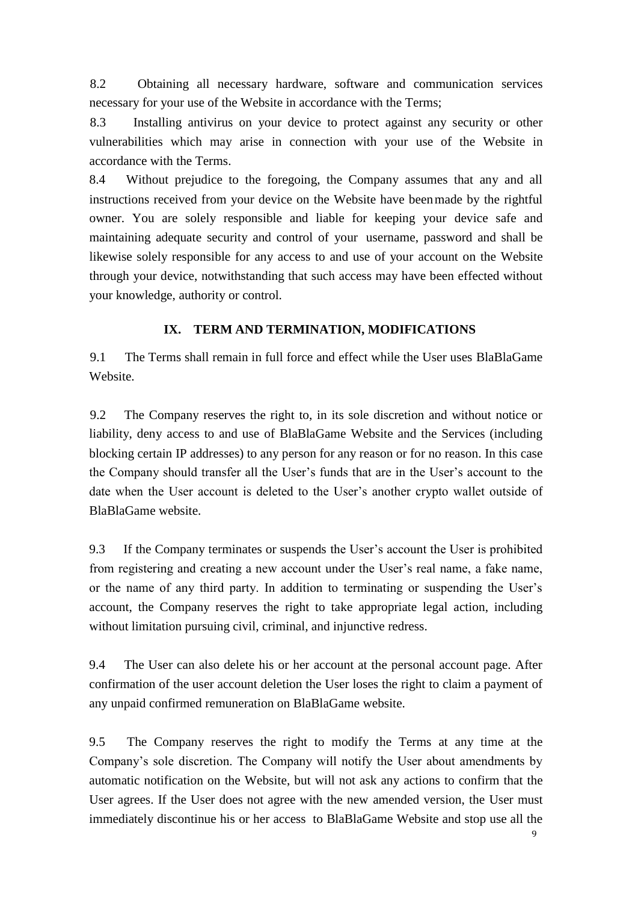8.2 Obtaining all necessary hardware, software and communication services necessary for your use of the Website in accordance with the Terms;

8.3 Installing antivirus on your device to protect against any security or other vulnerabilities which may arise in connection with your use of the Website in accordance with the Terms.

8.4 Without prejudice to the foregoing, the Company assumes that any and all instructions received from your device on the Website have beenmade by the rightful owner. You are solely responsible and liable for keeping your device safe and maintaining adequate security and control of your username, password and shall be likewise solely responsible for any access to and use of your account on the Website through your device, notwithstanding that such access may have been effected without your knowledge, authority or control.

# **IX. TERM AND TERMINATION, MODIFICATIONS**

9.1 The Terms shall remain in full force and effect while the User uses BlaBlaGame Website.

9.2 The Company reserves the right to, in its sole discretion and without notice or liability, deny access to and use of BlaBlaGame Website and the Services (including blocking certain IP addresses) to any person for any reason or for no reason. In this case the Company should transfer all the User's funds that are in the User's account to the date when the User account is deleted to the User's another crypto wallet outside of BlaBlaGame website.

9.3 If the Company terminates or suspends the User's account the User is prohibited from registering and creating a new account under the User's real name, a fake name, or the name of any third party. In addition to terminating or suspending the User's account, the Company reserves the right to take appropriate legal action, including without limitation pursuing civil, criminal, and injunctive redress.

9.4 The User can also delete his or her account at the personal account page. After confirmation of the user account deletion the User loses the right to claim a payment of any unpaid confirmed remuneration on BlaBlaGame website.

9.5 The Company reserves the right to modify the Terms at any time at the Company's sole discretion. The Company will notify the User about amendments by automatic notification on the Website, but will not ask any actions to confirm that the User agrees. If the User does not agree with the new amended version, the User must immediately discontinue his or her access to BlaBlaGame Website and stop use all the

9